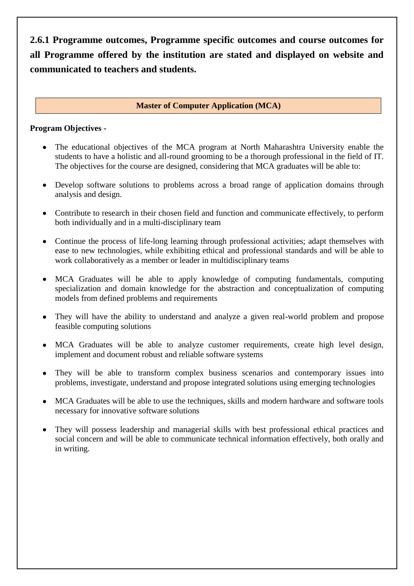**2.6.1 Programme outcomes, Programme specific outcomes and course outcomes for all Programme offered by the institution are stated and displayed on website and communicated to teachers and students.**

# **Master of Computer Application (MCA)**

# **Program Objectives -**

- The educational objectives of the MCA program at North Maharashtra University enable the students to have a holistic and all-round grooming to be a thorough professional in the field of IT. The objectives for the course are designed, considering that MCA graduates will be able to:
- Develop software solutions to problems across a broad range of application domains through analysis and design.
- Contribute to research in their chosen field and function and communicate effectively, to perform both individually and in a multi-disciplinary team
- Continue the process of life-long learning through professional activities; adapt themselves with ease to new technologies, while exhibiting ethical and professional standards and will be able to work collaboratively as a member or leader in multidisciplinary teams
- MCA Graduates will be able to apply knowledge of computing fundamentals, computing specialization and domain knowledge for the abstraction and conceptualization of computing models from defined problems and requirements
- They will have the ability to understand and analyze a given real-world problem and propose feasible computing solutions
- MCA Graduates will be able to analyze customer requirements, create high level design, implement and document robust and reliable software systems
- They will be able to transform complex business scenarios and contemporary issues into problems, investigate, understand and propose integrated solutions using emerging technologies
- MCA Graduates will be able to use the techniques, skills and modern hardware and software tools necessary for innovative software solutions
- They will possess leadership and managerial skills with best professional ethical practices and social concern and will be able to communicate technical information effectively, both orally and in writing.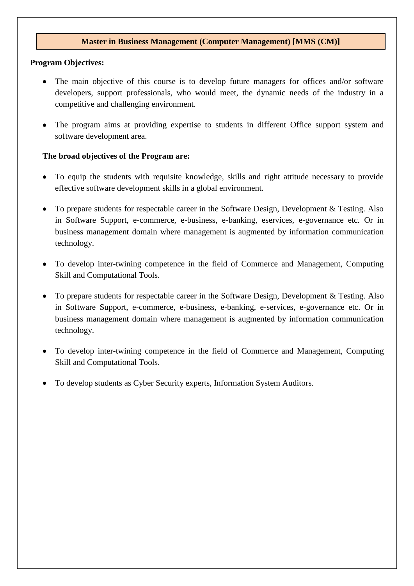### **Master in Business Management (Computer Management) [MMS (CM)]**

### **Program Objectives:**

- The main objective of this course is to develop future managers for offices and/or software developers, support professionals, who would meet, the dynamic needs of the industry in a competitive and challenging environment.
- The program aims at providing expertise to students in different Office support system and software development area.

### **The broad objectives of the Program are:**

- To equip the students with requisite knowledge, skills and right attitude necessary to provide effective software development skills in a global environment.
- To prepare students for respectable career in the Software Design, Development & Testing. Also in Software Support, e-commerce, e-business, e-banking, eservices, e-governance etc. Or in business management domain where management is augmented by information communication technology.
- To develop inter-twining competence in the field of Commerce and Management, Computing Skill and Computational Tools.
- To prepare students for respectable career in the Software Design, Development & Testing. Also in Software Support, e-commerce, e-business, e-banking, e-services, e-governance etc. Or in business management domain where management is augmented by information communication technology.
- To develop inter-twining competence in the field of Commerce and Management, Computing Skill and Computational Tools.
- To develop students as Cyber Security experts, Information System Auditors.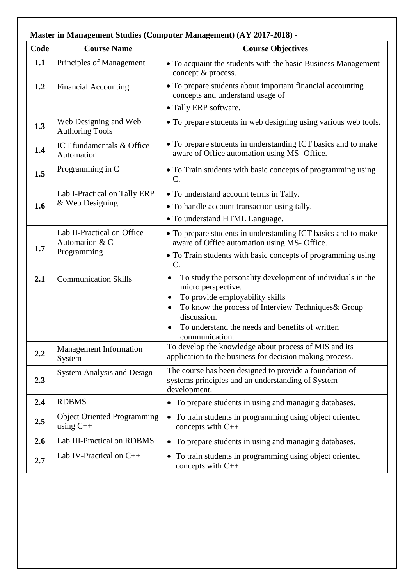| Code | <b>Course Name</b>                                          | <b>Course Objectives</b>                                                                                                                                                                                                                                       |
|------|-------------------------------------------------------------|----------------------------------------------------------------------------------------------------------------------------------------------------------------------------------------------------------------------------------------------------------------|
| 1.1  | Principles of Management                                    | • To acquaint the students with the basic Business Management<br>concept & process.                                                                                                                                                                            |
| 1.2  | <b>Financial Accounting</b>                                 | • To prepare students about important financial accounting<br>concepts and understand usage of<br>• Tally ERP software.                                                                                                                                        |
| 1.3  | Web Designing and Web<br><b>Authoring Tools</b>             | • To prepare students in web designing using various web tools.                                                                                                                                                                                                |
| 1.4  | ICT fundamentals & Office<br>Automation                     | • To prepare students in understanding ICT basics and to make<br>aware of Office automation using MS- Office.                                                                                                                                                  |
| 1.5  | Programming in C                                            | • To Train students with basic concepts of programming using<br>$C$ .                                                                                                                                                                                          |
| 1.6  | Lab I-Practical on Tally ERP<br>& Web Designing             | • To understand account terms in Tally.<br>• To handle account transaction using tally.<br>• To understand HTML Language.                                                                                                                                      |
| 1.7  | Lab II-Practical on Office<br>Automation & C<br>Programming | • To prepare students in understanding ICT basics and to make<br>aware of Office automation using MS- Office.<br>• To Train students with basic concepts of programming using<br>$C$ .                                                                         |
| 2.1  | <b>Communication Skills</b>                                 | To study the personality development of individuals in the<br>micro perspective.<br>To provide employability skills<br>To know the process of Interview Techniques & Group<br>discussion.<br>To understand the needs and benefits of written<br>communication. |
| 2.2  | <b>Management Information</b><br>System                     | To develop the knowledge about process of MIS and its<br>application to the business for decision making process.                                                                                                                                              |
| 2.3  | <b>System Analysis and Design</b>                           | The course has been designed to provide a foundation of<br>systems principles and an understanding of System<br>development.                                                                                                                                   |
| 2.4  | <b>RDBMS</b>                                                | To prepare students in using and managing databases.<br>$\bullet$                                                                                                                                                                                              |
| 2.5  | <b>Object Oriented Programming</b><br>using $C++$           | To train students in programming using object oriented<br>concepts with $C_{++}$ .                                                                                                                                                                             |
| 2.6  | Lab III-Practical on RDBMS                                  | To prepare students in using and managing databases.<br>$\bullet$                                                                                                                                                                                              |
| 2.7  | Lab IV-Practical on $C++$                                   | To train students in programming using object oriented<br>$\bullet$<br>concepts with C++.                                                                                                                                                                      |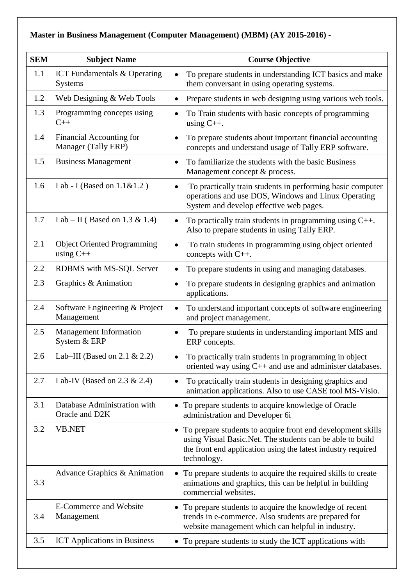# **Master in Business Management (Computer Management) (MBM) (AY 2015-2016) -**

| <b>SEM</b> | <b>Subject Name</b>                                   | <b>Course Objective</b>                                                                                                                                                                                              |
|------------|-------------------------------------------------------|----------------------------------------------------------------------------------------------------------------------------------------------------------------------------------------------------------------------|
| 1.1        | <b>ICT</b> Fundamentals & Operating<br><b>Systems</b> | To prepare students in understanding ICT basics and make<br>them conversant in using operating systems.                                                                                                              |
| 1.2        | Web Designing & Web Tools                             | Prepare students in web designing using various web tools.<br>$\bullet$                                                                                                                                              |
| 1.3        | Programming concepts using<br>$C++$                   | To Train students with basic concepts of programming<br>$\bullet$<br>using $C_{++}$ .                                                                                                                                |
| 1.4        | Financial Accounting for<br>Manager (Tally ERP)       | To prepare students about important financial accounting<br>concepts and understand usage of Tally ERP software.                                                                                                     |
| 1.5        | <b>Business Management</b>                            | To familiarize the students with the basic Business<br>Management concept & process.                                                                                                                                 |
| 1.6        | Lab - I (Based on $1.1 \& 1.2$ )                      | To practically train students in performing basic computer<br>$\bullet$<br>operations and use DOS, Windows and Linux Operating<br>System and develop effective web pages.                                            |
| 1.7        | Lab – II (Based on 1.3 & 1.4)                         | To practically train students in programming using $C_{++}$ .<br>Also to prepare students in using Tally ERP.                                                                                                        |
| 2.1        | <b>Object Oriented Programming</b><br>using $C++$     | To train students in programming using object oriented<br>concepts with C++.                                                                                                                                         |
| 2.2        | RDBMS with MS-SQL Server                              | To prepare students in using and managing databases.<br>٠                                                                                                                                                            |
| 2.3        | Graphics & Animation                                  | To prepare students in designing graphics and animation<br>applications.                                                                                                                                             |
| 2.4        | Software Engineering & Project<br>Management          | To understand important concepts of software engineering<br>$\bullet$<br>and project management.                                                                                                                     |
| 2.5        | <b>Management Information</b><br>System & ERP         | To prepare students in understanding important MIS and<br>ERP concepts.                                                                                                                                              |
| 2.6        | Lab–III (Based on 2.1 & 2.2)                          | To practically train students in programming in object<br>$\bullet$<br>oriented way using $C_{++}$ and use and administer databases.                                                                                 |
| 2.7        | Lab-IV (Based on $2.3 \& 2.4$ )                       | To practically train students in designing graphics and<br>$\bullet$<br>animation applications. Also to use CASE tool MS-Visio.                                                                                      |
| 3.1        | Database Administration with<br>Oracle and D2K        | To prepare students to acquire knowledge of Oracle<br>$\bullet$<br>administration and Developer 6i                                                                                                                   |
| 3.2        | <b>VB.NET</b>                                         | To prepare students to acquire front end development skills<br>$\bullet$<br>using Visual Basic.Net. The students can be able to build<br>the front end application using the latest industry required<br>technology. |
| 3.3        | Advance Graphics & Animation                          | To prepare students to acquire the required skills to create<br>$\bullet$<br>animations and graphics, this can be helpful in building<br>commercial websites.                                                        |
| 3.4        | <b>E-Commerce and Website</b><br>Management           | To prepare students to acquire the knowledge of recent<br>$\bullet$<br>trends in e-commerce. Also students are prepared for<br>website management which can helpful in industry.                                     |
| 3.5        | <b>ICT</b> Applications in Business                   | • To prepare students to study the ICT applications with                                                                                                                                                             |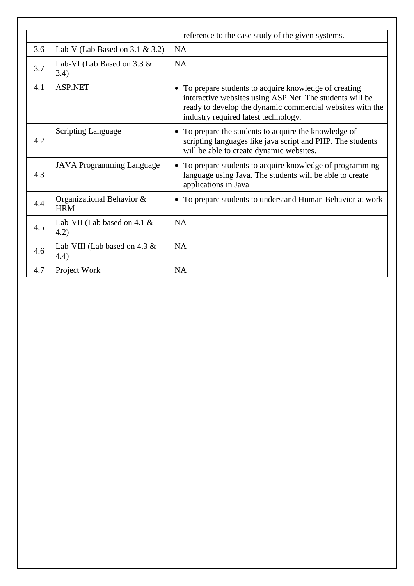|     |                                          | reference to the case study of the given systems.                                                                                                                                                                       |
|-----|------------------------------------------|-------------------------------------------------------------------------------------------------------------------------------------------------------------------------------------------------------------------------|
| 3.6 | Lab-V (Lab Based on 3.1 & 3.2)           | <b>NA</b>                                                                                                                                                                                                               |
| 3.7 | Lab-VI (Lab Based on 3.3 &<br>3.4)       | <b>NA</b>                                                                                                                                                                                                               |
| 4.1 | <b>ASP.NET</b>                           | • To prepare students to acquire knowledge of creating<br>interactive websites using ASP.Net. The students will be<br>ready to develop the dynamic commercial websites with the<br>industry required latest technology. |
| 4.2 | <b>Scripting Language</b>                | • To prepare the students to acquire the knowledge of<br>scripting languages like java script and PHP. The students<br>will be able to create dynamic websites.                                                         |
| 4.3 | <b>JAVA Programming Language</b>         | • To prepare students to acquire knowledge of programming<br>language using Java. The students will be able to create<br>applications in Java                                                                           |
| 4.4 | Organizational Behavior &<br><b>HRM</b>  | • To prepare students to understand Human Behavior at work                                                                                                                                                              |
| 4.5 | Lab-VII (Lab based on 4.1 $\&$<br>(4.2)  | <b>NA</b>                                                                                                                                                                                                               |
| 4.6 | Lab-VIII (Lab based on 4.3 $\&$<br>(4.4) | <b>NA</b>                                                                                                                                                                                                               |
| 4.7 | Project Work                             | <b>NA</b>                                                                                                                                                                                                               |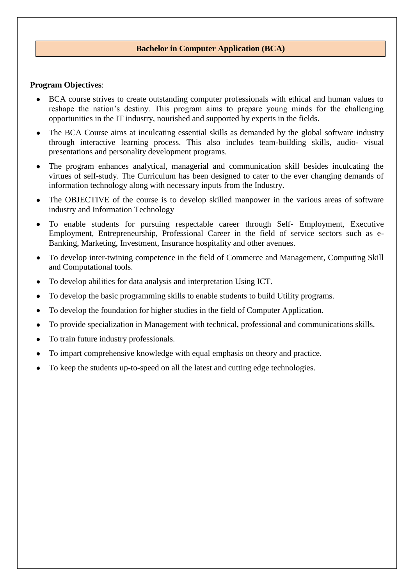# **Bachelor in Computer Application (BCA)**

### **Program Objectives**:

- BCA course strives to create outstanding computer professionals with ethical and human values to reshape the nation's destiny. This program aims to prepare young minds for the challenging opportunities in the IT industry, nourished and supported by experts in the fields.
- The BCA Course aims at inculcating essential skills as demanded by the global software industry through interactive learning process. This also includes team-building skills, audio- visual presentations and personality development programs.
- The program enhances analytical, managerial and communication skill besides inculcating the virtues of self-study. The Curriculum has been designed to cater to the ever changing demands of information technology along with necessary inputs from the Industry.
- The OBJECTIVE of the course is to develop skilled manpower in the various areas of software industry and Information Technology
- To enable students for pursuing respectable career through Self- Employment, Executive Employment, Entrepreneurship, Professional Career in the field of service sectors such as e-Banking, Marketing, Investment, Insurance hospitality and other avenues.
- To develop inter-twining competence in the field of Commerce and Management, Computing Skill and Computational tools.
- To develop abilities for data analysis and interpretation Using ICT.
- To develop the basic programming skills to enable students to build Utility programs.
- To develop the foundation for higher studies in the field of Computer Application.
- To provide specialization in Management with technical, professional and communications skills.
- To train future industry professionals.
- To impart comprehensive knowledge with equal emphasis on theory and practice.
- To keep the students up-to-speed on all the latest and cutting edge technologies.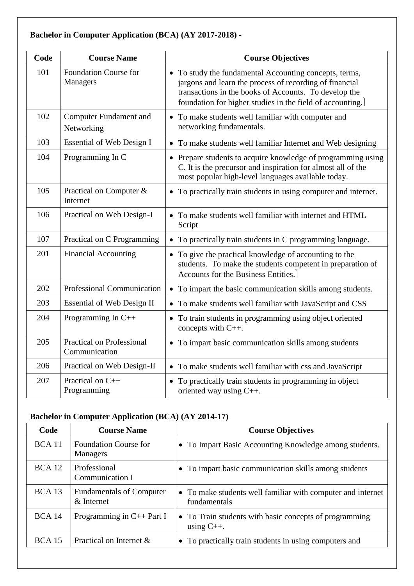# **Bachelor in Computer Application (BCA) (AY 2017-2018) -**

| Code | <b>Course Name</b>                                | <b>Course Objectives</b>                                                                                                                                                                                                                |
|------|---------------------------------------------------|-----------------------------------------------------------------------------------------------------------------------------------------------------------------------------------------------------------------------------------------|
| 101  | <b>Foundation Course for</b><br>Managers          | • To study the fundamental Accounting concepts, terms,<br>jargons and learn the process of recording of financial<br>transactions in the books of Accounts. To develop the<br>foundation for higher studies in the field of accounting. |
| 102  | <b>Computer Fundament and</b><br>Networking       | • To make students well familiar with computer and<br>networking fundamentals.                                                                                                                                                          |
| 103  | Essential of Web Design I                         | • To make students well familiar Internet and Web designing                                                                                                                                                                             |
| 104  | Programming In C                                  | • Prepare students to acquire knowledge of programming using<br>C. It is the precursor and inspiration for almost all of the<br>most popular high-level languages available today.                                                      |
| 105  | Practical on Computer &<br>Internet               | • To practically train students in using computer and internet.                                                                                                                                                                         |
| 106  | Practical on Web Design-I                         | To make students well familiar with internet and HTML<br>Script                                                                                                                                                                         |
| 107  | Practical on C Programming                        | • To practically train students in C programming language.                                                                                                                                                                              |
| 201  | <b>Financial Accounting</b>                       | • To give the practical knowledge of accounting to the<br>students. To make the students competent in preparation of<br>Accounts for the Business Entities.                                                                             |
| 202  | <b>Professional Communication</b>                 | To impart the basic communication skills among students.<br>$\bullet$                                                                                                                                                                   |
| 203  | <b>Essential of Web Design II</b>                 | • To make students well familiar with JavaScript and CSS                                                                                                                                                                                |
| 204  | Programming In $C++$                              | • To train students in programming using object oriented<br>concepts with C++.                                                                                                                                                          |
| 205  | <b>Practical on Professional</b><br>Communication | • To impart basic communication skills among students                                                                                                                                                                                   |
| 206  | Practical on Web Design-II                        | • To make students well familiar with css and JavaScript                                                                                                                                                                                |
| 207  | Practical on C++<br>Programming                   | • To practically train students in programming in object<br>oriented way using $C_{++}$ .                                                                                                                                               |

# **Bachelor in Computer Application (BCA) (AY 2014-17)**

| Code          | <b>Course Name</b>                               | <b>Course Objectives</b>                                                    |
|---------------|--------------------------------------------------|-----------------------------------------------------------------------------|
| <b>BCA</b> 11 | <b>Foundation Course for</b><br><b>Managers</b>  | • To Impart Basic Accounting Knowledge among students.                      |
| <b>BCA</b> 12 | Professional<br>Communication I                  | • To impart basic communication skills among students                       |
| BCA13         | <b>Fundamentals of Computer</b><br>$\&$ Internet | • To make students well familiar with computer and internet<br>fundamentals |
| <b>BCA 14</b> | Programming in $C_{++}$ Part I                   | • To Train students with basic concepts of programming<br>using $C_{++}$ .  |
| <b>BCA 15</b> | Practical on Internet $\&$                       | • To practically train students in using computers and                      |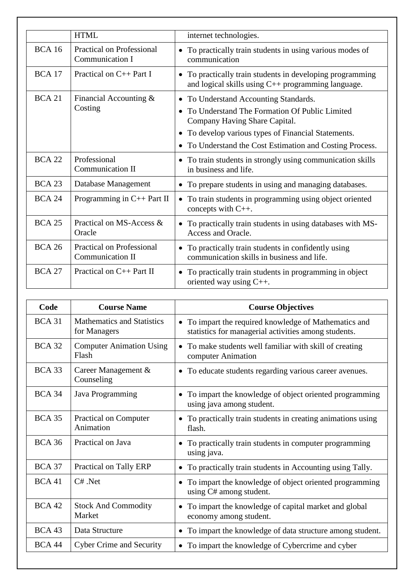|               | <b>HTML</b>                                          | internet technologies.                                                                                                  |
|---------------|------------------------------------------------------|-------------------------------------------------------------------------------------------------------------------------|
| <b>BCA 16</b> | Practical on Professional<br>Communication I         | • To practically train students in using various modes of<br>communication                                              |
| <b>BCA 17</b> | Practical on C++ Part I                              | • To practically train students in developing programming<br>and logical skills using $C_{++}$ programming language.    |
| <b>BCA 21</b> | Financial Accounting $&$<br>Costing                  | • To Understand Accounting Standards.<br>To Understand The Formation Of Public Limited<br>Company Having Share Capital. |
|               |                                                      | • To develop various types of Financial Statements.                                                                     |
|               |                                                      | To Understand the Cost Estimation and Costing Process.                                                                  |
| <b>BCA 22</b> | Professional<br><b>Communication II</b>              | To train students in strongly using communication skills<br>$\bullet$<br>in business and life.                          |
| <b>BCA 23</b> | Database Management                                  | • To prepare students in using and managing databases.                                                                  |
| <b>BCA 24</b> | Programming in $C++$ Part II                         | To train students in programming using object oriented<br>$\bullet$<br>concepts with $C_{++}$ .                         |
| <b>BCA 25</b> | Practical on MS-Access &<br>Oracle                   | • To practically train students in using databases with MS-<br>Access and Oracle.                                       |
| <b>BCA 26</b> | <b>Practical on Professional</b><br>Communication II | • To practically train students in confidently using<br>communication skills in business and life.                      |
| <b>BCA 27</b> | Practical on C++ Part II                             | • To practically train students in programming in object<br>oriented way using $C_{++}$ .                               |

| Code          | <b>Course Name</b>                                | <b>Course Objectives</b>                                                                                    |
|---------------|---------------------------------------------------|-------------------------------------------------------------------------------------------------------------|
| <b>BCA 31</b> | <b>Mathematics and Statistics</b><br>for Managers | To impart the required knowledge of Mathematics and<br>statistics for managerial activities among students. |
| <b>BCA 32</b> | <b>Computer Animation Using</b><br>Flash          | To make students well familiar with skill of creating<br>computer Animation                                 |
| <b>BCA 33</b> | Career Management &<br>Counseling                 | • To educate students regarding various career avenues.                                                     |
| <b>BCA 34</b> | Java Programming                                  | To impart the knowledge of object oriented programming<br>using java among student.                         |
| <b>BCA 35</b> | Practical on Computer<br>Animation                | • To practically train students in creating animations using<br>flash.                                      |
| <b>BCA 36</b> | Practical on Java                                 | To practically train students in computer programming<br>using java.                                        |
| <b>BCA 37</b> | Practical on Tally ERP                            | To practically train students in Accounting using Tally.                                                    |
| BCA41         | $C#$ . Net                                        | To impart the knowledge of object oriented programming<br>$\bullet$<br>using C# among student.              |
| <b>BCA 42</b> | <b>Stock And Commodity</b><br>Market              | To impart the knowledge of capital market and global<br>economy among student.                              |
| <b>BCA 43</b> | Data Structure                                    | To impart the knowledge of data structure among student.                                                    |
| <b>BCA 44</b> | <b>Cyber Crime and Security</b>                   | To impart the knowledge of Cybercrime and cyber                                                             |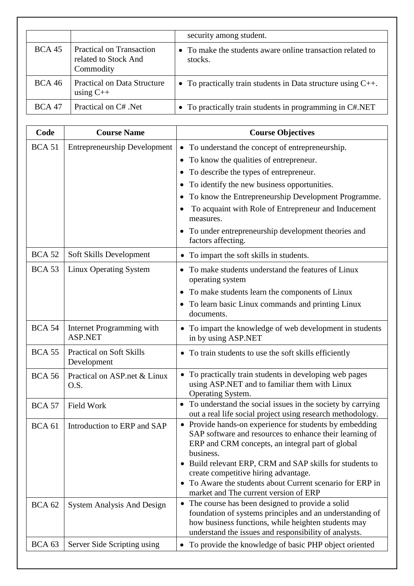|               |                                                                      | security among student.                                               |
|---------------|----------------------------------------------------------------------|-----------------------------------------------------------------------|
| <b>BCA 45</b> | <b>Practical on Transaction</b><br>related to Stock And<br>Commodity | • To make the students aware online transaction related to<br>stocks. |
| <b>BCA 46</b> | <b>Practical on Data Structure</b><br>using $C++$                    | • To practically train students in Data structure using $C_{++}$ .    |
| <b>BCA 47</b> | Practical on C# .Net                                                 | • To practically train students in programming in C#.NET              |

| Code              | <b>Course Name</b>                      | <b>Course Objectives</b>                                                                                                                                                                                                                 |
|-------------------|-----------------------------------------|------------------------------------------------------------------------------------------------------------------------------------------------------------------------------------------------------------------------------------------|
| <b>BCA 51</b>     | <b>Entrepreneurship Development</b>     | To understand the concept of entrepreneurship.<br>$\bullet$                                                                                                                                                                              |
|                   |                                         | To know the qualities of entrepreneur.<br>$\bullet$                                                                                                                                                                                      |
|                   |                                         | To describe the types of entrepreneur.                                                                                                                                                                                                   |
|                   |                                         | To identify the new business opportunities.<br>$\bullet$                                                                                                                                                                                 |
|                   |                                         | To know the Entrepreneurship Development Programme.                                                                                                                                                                                      |
|                   |                                         | To acquaint with Role of Entrepreneur and Inducement<br>٠<br>measures.                                                                                                                                                                   |
|                   |                                         | To under entrepreneurship development theories and<br>factors affecting.                                                                                                                                                                 |
| <b>BCA 52</b>     | Soft Skills Development                 | To impart the soft skills in students.                                                                                                                                                                                                   |
| <b>BCA 53</b>     | Linux Operating System                  | To make students understand the features of Linux<br>$\bullet$<br>operating system                                                                                                                                                       |
|                   |                                         | To make students learn the components of Linux<br>$\bullet$                                                                                                                                                                              |
|                   |                                         | To learn basic Linux commands and printing Linux<br>documents.                                                                                                                                                                           |
| <b>BCA 54</b>     | Internet Programming with<br>ASP.NET    | To impart the knowledge of web development in students<br>in by using ASP.NET                                                                                                                                                            |
| <b>BCA 55</b>     | Practical on Soft Skills<br>Development | • To train students to use the soft skills efficiently                                                                                                                                                                                   |
| <b>BCA 56</b>     | Practical on ASP.net & Linux<br>O.S.    | • To practically train students in developing web pages<br>using ASP.NET and to familiar them with Linux<br>Operating System.                                                                                                            |
| <b>BCA 57</b>     | Field Work                              | To understand the social issues in the society by carrying<br>$\bullet$<br>out a real life social project using research methodology.                                                                                                    |
| <b>BCA 61</b>     | Introduction to ERP and SAP             | • Provide hands-on experience for students by embedding<br>SAP software and resources to enhance their learning of<br>ERP and CRM concepts, an integral part of global<br>business.                                                      |
|                   |                                         | Build relevant ERP, CRM and SAP skills for students to<br>$\bullet$<br>create competitive hiring advantage.                                                                                                                              |
|                   |                                         | To Aware the students about Current scenario for ERP in<br>market and The current version of ERP                                                                                                                                         |
| <b>BCA 62</b>     | <b>System Analysis And Design</b>       | The course has been designed to provide a solid<br>$\bullet$<br>foundation of systems principles and an understanding of<br>how business functions, while heighten students may<br>understand the issues and responsibility of analysts. |
| BCA <sub>63</sub> | Server Side Scripting using             | To provide the knowledge of basic PHP object oriented<br>$\bullet$                                                                                                                                                                       |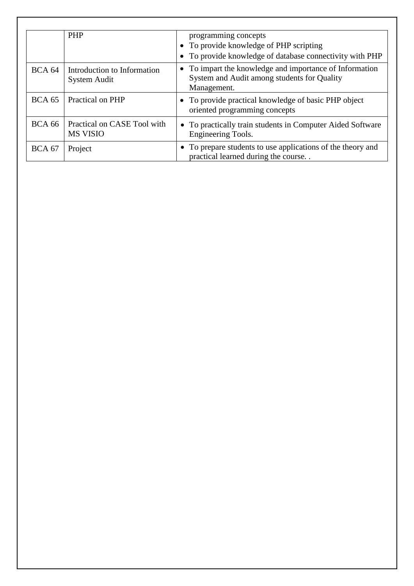|                   | <b>PHP</b>                                     | programming concepts                                                                                                  |
|-------------------|------------------------------------------------|-----------------------------------------------------------------------------------------------------------------------|
|                   |                                                | • To provide knowledge of PHP scripting                                                                               |
|                   |                                                | To provide knowledge of database connectivity with PHP                                                                |
| BCA <sub>64</sub> | Introduction to Information<br>System Audit    | • To impart the knowledge and importance of Information<br>System and Audit among students for Quality<br>Management. |
| $BCA$ 65          | Practical on PHP                               | • To provide practical knowledge of basic PHP object<br>oriented programming concepts                                 |
| <b>BCA 66</b>     | Practical on CASE Tool with<br><b>MS VISIO</b> | • To practically train students in Computer Aided Software<br>Engineering Tools.                                      |
| <b>BCA 67</b>     | Project                                        | • To prepare students to use applications of the theory and<br>practical learned during the course                    |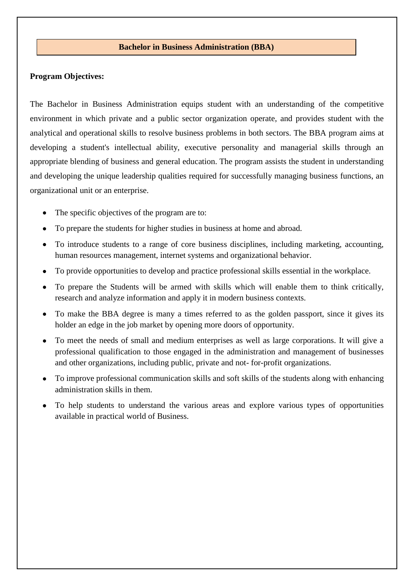#### **Bachelor in Business Administration (BBA)**

#### **Program Objectives:**

The Bachelor in Business Administration equips student with an understanding of the competitive environment in which private and a public sector organization operate, and provides student with the analytical and operational skills to resolve business problems in both sectors. The BBA program aims at developing a student's intellectual ability, executive personality and managerial skills through an appropriate blending of business and general education. The program assists the student in understanding and developing the unique leadership qualities required for successfully managing business functions, an organizational unit or an enterprise.

- The specific objectives of the program are to:
- To prepare the students for higher studies in business at home and abroad.
- To introduce students to a range of core business disciplines, including marketing, accounting, human resources management, internet systems and organizational behavior.
- To provide opportunities to develop and practice professional skills essential in the workplace.
- To prepare the Students will be armed with skills which will enable them to think critically, research and analyze information and apply it in modern business contexts.
- To make the BBA degree is many a times referred to as the golden passport, since it gives its holder an edge in the job market by opening more doors of opportunity.
- To meet the needs of small and medium enterprises as well as large corporations. It will give a professional qualification to those engaged in the administration and management of businesses and other organizations, including public, private and not- for-profit organizations.
- To improve professional communication skills and soft skills of the students along with enhancing administration skills in them.
- To help students to understand the various areas and explore various types of opportunities available in practical world of Business.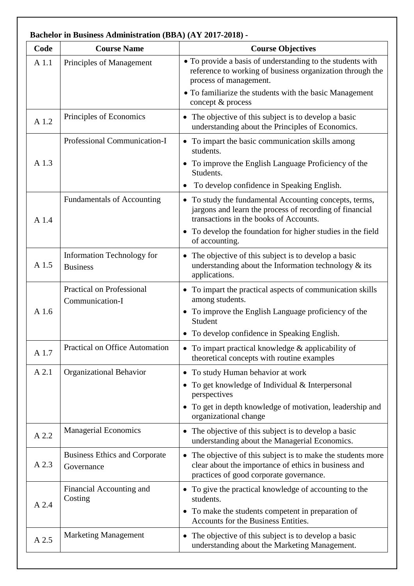|       | <b>Bachelor in Business Administration (BBA) (AY 2017-2018) -</b> |                                                                                                                                                                                                                                              |
|-------|-------------------------------------------------------------------|----------------------------------------------------------------------------------------------------------------------------------------------------------------------------------------------------------------------------------------------|
| Code  | <b>Course Name</b>                                                | <b>Course Objectives</b>                                                                                                                                                                                                                     |
| A 1.1 | Principles of Management                                          | • To provide a basis of understanding to the students with<br>reference to working of business organization through the<br>process of management.                                                                                            |
|       |                                                                   | • To familiarize the students with the basic Management<br>concept & process                                                                                                                                                                 |
| A 1.2 | Principles of Economics                                           | • The objective of this subject is to develop a basic<br>understanding about the Principles of Economics.                                                                                                                                    |
| A 1.3 | Professional Communication-I                                      | • To impart the basic communication skills among<br>students.<br>• To improve the English Language Proficiency of the<br>Students.<br>To develop confidence in Speaking English.<br>$\bullet$                                                |
| A 1.4 | <b>Fundamentals of Accounting</b>                                 | • To study the fundamental Accounting concepts, terms,<br>jargons and learn the process of recording of financial<br>transactions in the books of Accounts.<br>• To develop the foundation for higher studies in the field<br>of accounting. |
| A 1.5 | Information Technology for<br><b>Business</b>                     | • The objective of this subject is to develop a basic<br>understanding about the Information technology $\&$ its<br>applications.                                                                                                            |
| A 1.6 | <b>Practical on Professional</b><br>Communication-I               | • To impart the practical aspects of communication skills<br>among students.<br>• To improve the English Language proficiency of the<br>Student<br>• To develop confidence in Speaking English.                                              |
| A 1.7 | <b>Practical on Office Automation</b>                             | • To impart practical knowledge $&$ applicability of<br>theoretical concepts with routine examples                                                                                                                                           |
| A 2.1 | <b>Organizational Behavior</b>                                    | • To study Human behavior at work<br>To get knowledge of Individual & Interpersonal<br>perspectives<br>• To get in depth knowledge of motivation, leadership and<br>organizational change                                                    |
| A 2.2 | <b>Managerial Economics</b>                                       | • The objective of this subject is to develop a basic<br>understanding about the Managerial Economics.                                                                                                                                       |
| A 2.3 | <b>Business Ethics and Corporate</b><br>Governance                | • The objective of this subject is to make the students more<br>clear about the importance of ethics in business and<br>practices of good corporate governance.                                                                              |
| A 2.4 | Financial Accounting and<br>Costing                               | • To give the practical knowledge of accounting to the<br>students.<br>• To make the students competent in preparation of<br>Accounts for the Business Entities.                                                                             |
| A 2.5 | <b>Marketing Management</b>                                       | • The objective of this subject is to develop a basic<br>understanding about the Marketing Management.                                                                                                                                       |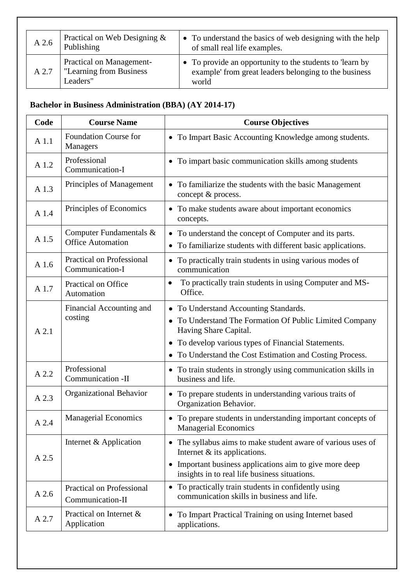| A2.6  | Practical on Web Designing $\&$<br>Publishing                    | • To understand the basics of web designing with the help<br>of small real life examples.                                  |
|-------|------------------------------------------------------------------|----------------------------------------------------------------------------------------------------------------------------|
| A 2.7 | Practical on Management-<br>"Learning from Business"<br>Leaders" | • To provide an opportunity to the students to 'learn by<br>example' from great leaders belonging to the business<br>world |

# **Bachelor in Business Administration (BBA) (AY 2014-17)**

| Code  | <b>Course Name</b>                                   | <b>Course Objectives</b>                                                                                                                                                                                               |
|-------|------------------------------------------------------|------------------------------------------------------------------------------------------------------------------------------------------------------------------------------------------------------------------------|
| A 1.1 | <b>Foundation Course for</b><br>Managers             | • To Impart Basic Accounting Knowledge among students.                                                                                                                                                                 |
| A 1.2 | Professional<br>Communication-I                      | • To impart basic communication skills among students                                                                                                                                                                  |
| A 1.3 | Principles of Management                             | • To familiarize the students with the basic Management<br>concept & process.                                                                                                                                          |
| A 1.4 | Principles of Economics                              | • To make students aware about important economics<br>concepts.                                                                                                                                                        |
| A 1.5 | Computer Fundamentals &<br><b>Office Automation</b>  | • To understand the concept of Computer and its parts.<br>• To familiarize students with different basic applications.                                                                                                 |
| A 1.6 | <b>Practical on Professional</b><br>Communication-I  | • To practically train students in using various modes of<br>communication                                                                                                                                             |
| A 1.7 | Practical on Office<br>Automation                    | To practically train students in using Computer and MS-<br>٠<br>Office.                                                                                                                                                |
| A 2.1 | Financial Accounting and<br>costing                  | • To Understand Accounting Standards.<br>To Understand The Formation Of Public Limited Company<br>٠<br>Having Share Capital.<br>• To develop various types of Financial Statements.                                    |
|       |                                                      | • To Understand the Cost Estimation and Costing Process.                                                                                                                                                               |
| A 2.2 | Professional<br>Communication -II                    | • To train students in strongly using communication skills in<br>business and life.                                                                                                                                    |
| A 2.3 | Organizational Behavior                              | To prepare students in understanding various traits of<br>Organization Behavior.                                                                                                                                       |
| A 2.4 | <b>Managerial Economics</b>                          | • To prepare students in understanding important concepts of<br><b>Managerial Economics</b>                                                                                                                            |
| A 2.5 | Internet & Application                               | • The syllabus aims to make student aware of various uses of<br>Internet $\&$ its applications.<br>Important business applications aim to give more deep<br>$\bullet$<br>insights in to real life business situations. |
| A 2.6 | <b>Practical on Professional</b><br>Communication-II | • To practically train students in confidently using<br>communication skills in business and life.                                                                                                                     |
| A 2.7 | Practical on Internet &<br>Application               | To Impart Practical Training on using Internet based<br>applications.                                                                                                                                                  |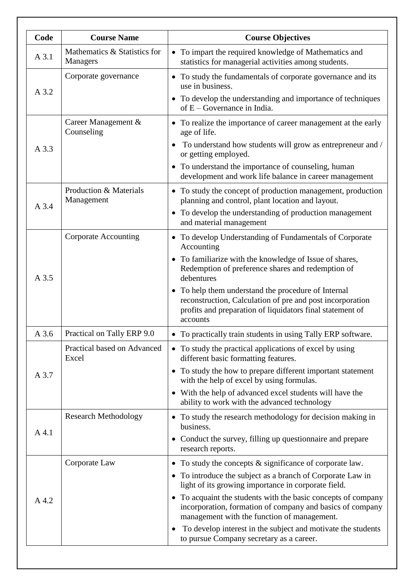| Code  | <b>Course Name</b>                              | <b>Course Objectives</b>                                                                                                                                                                             |
|-------|-------------------------------------------------|------------------------------------------------------------------------------------------------------------------------------------------------------------------------------------------------------|
| A 3.1 | Mathematics & Statistics for<br><b>Managers</b> | To impart the required knowledge of Mathematics and<br>$\bullet$<br>statistics for managerial activities among students.                                                                             |
| A 3.2 | Corporate governance                            | • To study the fundamentals of corporate governance and its<br>use in business.                                                                                                                      |
|       |                                                 | • To develop the understanding and importance of techniques<br>of $E - Goverance$ in India.                                                                                                          |
|       | Career Management &<br>Counseling               | • To realize the importance of career management at the early<br>age of life.                                                                                                                        |
| A 3.3 |                                                 | To understand how students will grow as entrepreneur and /<br>or getting employed.                                                                                                                   |
|       |                                                 | • To understand the importance of counseling, human<br>development and work life balance in career management                                                                                        |
| A 3.4 | Production & Materials<br>Management            | • To study the concept of production management, production<br>planning and control, plant location and layout.                                                                                      |
|       |                                                 | To develop the understanding of production management<br>$\bullet$<br>and material management                                                                                                        |
| A 3.5 | <b>Corporate Accounting</b>                     | To develop Understanding of Fundamentals of Corporate<br>Accounting                                                                                                                                  |
|       |                                                 | To familiarize with the knowledge of Issue of shares,<br>Redemption of preference shares and redemption of<br>debentures                                                                             |
|       |                                                 | To help them understand the procedure of Internal<br>$\bullet$<br>reconstruction, Calculation of pre and post incorporation<br>profits and preparation of liquidators final statement of<br>accounts |
| A 3.6 | Practical on Tally ERP 9.0                      | To practically train students in using Tally ERP software.                                                                                                                                           |
|       | Practical based on Advanced<br>Excel            | • To study the practical applications of excel by using<br>different basic formatting features.                                                                                                      |
| A 3.7 |                                                 | • To study the how to prepare different important statement<br>with the help of excel by using formulas.                                                                                             |
|       |                                                 | With the help of advanced excel students will have the<br>ability to work with the advanced technology                                                                                               |
| A 4.1 | <b>Research Methodology</b>                     | To study the research methodology for decision making in<br>business.                                                                                                                                |
|       |                                                 | Conduct the survey, filling up question aire and prepare<br>research reports.                                                                                                                        |
|       | Corporate Law                                   | To study the concepts & significance of corporate law.<br>$\bullet$                                                                                                                                  |
| A 4.2 |                                                 | To introduce the subject as a branch of Corporate Law in<br>$\bullet$<br>light of its growing importance in corporate field.                                                                         |
|       |                                                 | To acquaint the students with the basic concepts of company<br>incorporation, formation of company and basics of company<br>management with the function of management.                              |
|       |                                                 | To develop interest in the subject and motivate the students<br>to pursue Company secretary as a career.                                                                                             |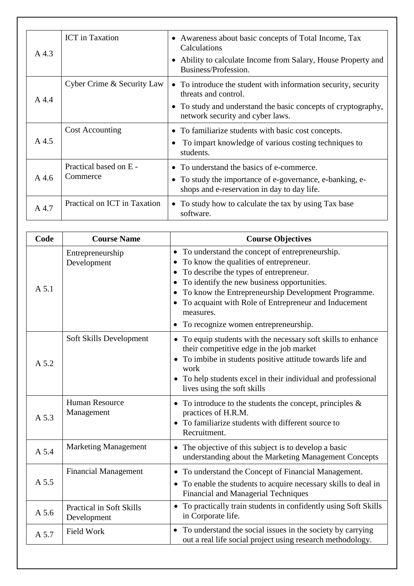| A 4.3    | <b>ICT</b> in Taxation             | • Awareness about basic concepts of Total Income, Tax<br>Calculations<br>Ability to calculate Income from Salary, House Property and<br>Business/Profession.                                |
|----------|------------------------------------|---------------------------------------------------------------------------------------------------------------------------------------------------------------------------------------------|
| A 4.4    | Cyber Crime & Security Law         | • To introduce the student with information security, security<br>threats and control.<br>• To study and understand the basic concepts of cryptography,<br>network security and cyber laws. |
| A 4.5    | <b>Cost Accounting</b>             | • To familiarize students with basic cost concepts.<br>To impart knowledge of various costing techniques to<br>students.                                                                    |
| $A\,4.6$ | Practical based on E -<br>Commerce | • To understand the basics of e-commerce.<br>To study the importance of e-governance, e-banking, e-<br>shops and e-reservation in day to day life.                                          |
| A 4.7    | Practical on ICT in Taxation       | • To study how to calculate the tax by using Tax base<br>software.                                                                                                                          |

| Code  | <b>Course Name</b>                             | <b>Course Objectives</b>                                                                                                                                                                                                                                                                                                                                                 |
|-------|------------------------------------------------|--------------------------------------------------------------------------------------------------------------------------------------------------------------------------------------------------------------------------------------------------------------------------------------------------------------------------------------------------------------------------|
| A 5.1 | Entrepreneurship<br>Development                | • To understand the concept of entrepreneurship.<br>To know the qualities of entrepreneur.<br>To describe the types of entrepreneur.<br>$\bullet$<br>To identify the new business opportunities.<br>To know the Entrepreneurship Development Programme.<br>• To acquaint with Role of Entrepreneur and Inducement<br>measures.<br>• To recognize women entrepreneurship. |
| A 5.2 | Soft Skills Development                        | • To equip students with the necessary soft skills to enhance<br>their competitive edge in the job market<br>• To imbibe in students positive attitude towards life and<br>work<br>• To help students excel in their individual and professional<br>lives using the soft skills                                                                                          |
| A 5.3 | <b>Human Resource</b><br>Management            | • To introduce to the students the concept, principles $\&$<br>practices of H.R.M.<br>• To familiarize students with different source to<br>Recruitment.                                                                                                                                                                                                                 |
| A 5.4 | <b>Marketing Management</b>                    | • The objective of this subject is to develop a basic<br>understanding about the Marketing Management Concepts                                                                                                                                                                                                                                                           |
| A 5.5 | <b>Financial Management</b>                    | • To understand the Concept of Financial Management.<br>To enable the students to acquire necessary skills to deal in<br>$\bullet$<br><b>Financial and Managerial Techniques</b>                                                                                                                                                                                         |
| A 5.6 | <b>Practical in Soft Skills</b><br>Development | • To practically train students in confidently using Soft Skills<br>in Corporate life.                                                                                                                                                                                                                                                                                   |
| A 5.7 | <b>Field Work</b>                              | • To understand the social issues in the society by carrying<br>out a real life social project using research methodology.                                                                                                                                                                                                                                               |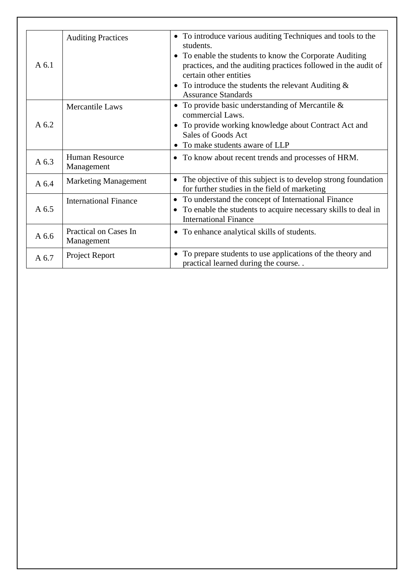| $A\,6.1$ | <b>Auditing Practices</b>           | • To introduce various auditing Techniques and tools to the<br>students.<br>• To enable the students to know the Corporate Auditing<br>practices, and the auditing practices followed in the audit of<br>certain other entities<br>• To introduce the students the relevant Auditing $&$<br><b>Assurance Standards</b> |
|----------|-------------------------------------|------------------------------------------------------------------------------------------------------------------------------------------------------------------------------------------------------------------------------------------------------------------------------------------------------------------------|
| A 6.2    | Mercantile Laws                     | • To provide basic understanding of Mercantile $\&$<br>commercial Laws.<br>• To provide working knowledge about Contract Act and<br>Sales of Goods Act<br>• To make students aware of LLP                                                                                                                              |
| A 6.3    | <b>Human Resource</b><br>Management | • To know about recent trends and processes of HRM.                                                                                                                                                                                                                                                                    |
| A $6.4$  | <b>Marketing Management</b>         | The objective of this subject is to develop strong foundation<br>$\bullet$<br>for further studies in the field of marketing                                                                                                                                                                                            |
| A 6.5    | <b>International Finance</b>        | • To understand the concept of International Finance<br>• To enable the students to acquire necessary skills to deal in<br><b>International Finance</b>                                                                                                                                                                |
| A 6.6    | Practical on Cases In<br>Management | • To enhance analytical skills of students.                                                                                                                                                                                                                                                                            |
| A 6.7    | Project Report                      | • To prepare students to use applications of the theory and<br>practical learned during the course                                                                                                                                                                                                                     |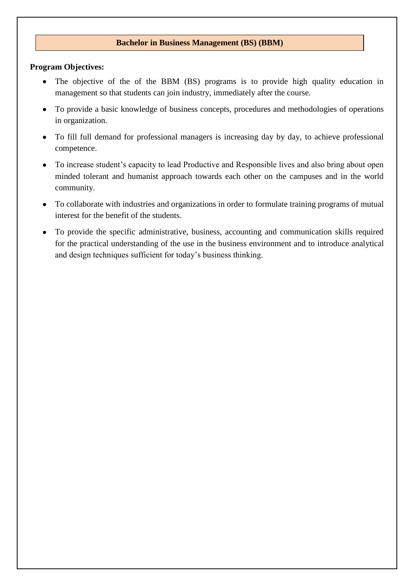### **Bachelor in Business Management (BS) (BBM)**

### **Program Objectives:**

- The objective of the of the BBM (BS) programs is to provide high quality education in management so that students can join industry, immediately after the course.
- To provide a basic knowledge of business concepts, procedures and methodologies of operations in organization.
- To fill full demand for professional managers is increasing day by day, to achieve professional competence.
- To increase student's capacity to lead Productive and Responsible lives and also bring about open minded tolerant and humanist approach towards each other on the campuses and in the world community.
- To collaborate with industries and organizations in order to formulate training programs of mutual interest for the benefit of the students.
- To provide the specific administrative, business, accounting and communication skills required for the practical understanding of the use in the business environment and to introduce analytical and design techniques sufficient for today's business thinking.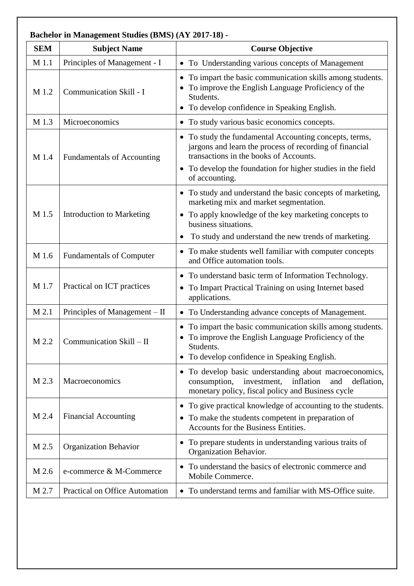| <b>SEM</b> | <b>Subject Name</b>               | <b>Course Objective</b>                                                                                                                                                                                                  |
|------------|-----------------------------------|--------------------------------------------------------------------------------------------------------------------------------------------------------------------------------------------------------------------------|
| M 1.1      | Principles of Management - I      | • To Understanding various concepts of Management                                                                                                                                                                        |
| M 1.2      | Communication Skill - I           | • To impart the basic communication skills among students.<br>To improve the English Language Proficiency of the<br>Students.<br>• To develop confidence in Speaking English.                                            |
| M 1.3      | Microeconomics                    | • To study various basic economics concepts.                                                                                                                                                                             |
| M 1.4      | <b>Fundamentals of Accounting</b> | To study the fundamental Accounting concepts, terms,<br>jargons and learn the process of recording of financial<br>transactions in the books of Accounts.<br>• To develop the foundation for higher studies in the field |
|            |                                   | of accounting.                                                                                                                                                                                                           |
| M 1.5      |                                   | • To study and understand the basic concepts of marketing,<br>marketing mix and market segmentation.<br>To apply knowledge of the key marketing concepts to                                                              |
|            | <b>Introduction to Marketing</b>  | $\bullet$<br>business situations.                                                                                                                                                                                        |
|            |                                   | To study and understand the new trends of marketing.                                                                                                                                                                     |
| M 1.6      | <b>Fundamentals of Computer</b>   | To make students well familiar with computer concepts<br>and Office automation tools.                                                                                                                                    |
| M 1.7      | Practical on ICT practices        | • To understand basic term of Information Technology.<br>To Impart Practical Training on using Internet based<br>$\bullet$<br>applications.                                                                              |
| M 2.1      | Principles of Management – II     | To Understanding advance concepts of Management.<br>$\bullet$                                                                                                                                                            |
| M 2.2      | Communication Skill - II          | • To impart the basic communication skills among students.<br>To improve the English Language Proficiency of the<br>Students.<br>• To develop confidence in Speaking English.                                            |
| M 2.3      | Macroeconomics                    | • To develop basic understanding about macroeconomics,<br>investment,<br>inflation<br>consumption,<br>and<br>deflation,<br>monetary policy, fiscal policy and Business cycle                                             |
| M 2.4      | <b>Financial Accounting</b>       | • To give practical knowledge of accounting to the students.<br>To make the students competent in preparation of<br>$\bullet$<br>Accounts for the Business Entities.                                                     |
| M 2.5      | <b>Organization Behavior</b>      | To prepare students in understanding various traits of<br>Organization Behavior.                                                                                                                                         |
| M 2.6      | e-commerce & M-Commerce           | To understand the basics of electronic commerce and<br>Mobile Commerce.                                                                                                                                                  |
| M 2.7      | Practical on Office Automation    | To understand terms and familiar with MS-Office suite.<br>$\bullet$                                                                                                                                                      |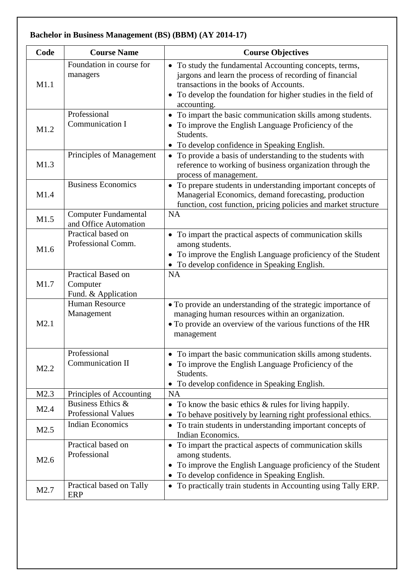| Code | <b>Course Name</b>                                    | <b>Course Objectives</b>                                                                                                                                                                                                                     |
|------|-------------------------------------------------------|----------------------------------------------------------------------------------------------------------------------------------------------------------------------------------------------------------------------------------------------|
| M1.1 | Foundation in course for<br>managers                  | • To study the fundamental Accounting concepts, terms,<br>jargons and learn the process of recording of financial<br>transactions in the books of Accounts.<br>• To develop the foundation for higher studies in the field of<br>accounting. |
| M1.2 | Professional<br>Communication I                       | • To impart the basic communication skills among students.<br>To improve the English Language Proficiency of the<br>Students.<br>• To develop confidence in Speaking English.                                                                |
| M1.3 | Principles of Management                              | • To provide a basis of understanding to the students with<br>reference to working of business organization through the<br>process of management.                                                                                            |
| M1.4 | <b>Business Economics</b>                             | • To prepare students in understanding important concepts of<br>Managerial Economics, demand forecasting, production<br>function, cost function, pricing policies and market structure                                                       |
| M1.5 | <b>Computer Fundamental</b><br>and Office Automation  | <b>NA</b>                                                                                                                                                                                                                                    |
| M1.6 | Practical based on<br>Professional Comm.              | • To impart the practical aspects of communication skills<br>among students.<br>To improve the English Language proficiency of the Student<br>• To develop confidence in Speaking English.                                                   |
| M1.7 | Practical Based on<br>Computer<br>Fund. & Application | <b>NA</b>                                                                                                                                                                                                                                    |
| M2.1 | <b>Human Resource</b><br>Management                   | • To provide an understanding of the strategic importance of<br>managing human resources within an organization.<br>• To provide an overview of the various functions of the HR<br>management                                                |
| M2.2 | Professional<br>Communication II                      | • To impart the basic communication skills among students.<br>To improve the English Language Proficiency of the<br>Students.<br>To develop confidence in Speaking English.                                                                  |
| M2.3 | Principles of Accounting                              | <b>NA</b>                                                                                                                                                                                                                                    |
| M2.4 | Business Ethics &<br><b>Professional Values</b>       | To know the basic ethics $\&$ rules for living happily.<br>$\bullet$<br>To behave positively by learning right professional ethics.                                                                                                          |
| M2.5 | <b>Indian Economics</b>                               | To train students in understanding important concepts of<br>$\bullet$<br>Indian Economics.                                                                                                                                                   |
| M2.6 | Practical based on<br>Professional                    | • To impart the practical aspects of communication skills<br>among students.<br>To improve the English Language proficiency of the Student<br>To develop confidence in Speaking English.                                                     |
| M2.7 | Practical based on Tally<br>ERP                       | • To practically train students in Accounting using Tally ERP.                                                                                                                                                                               |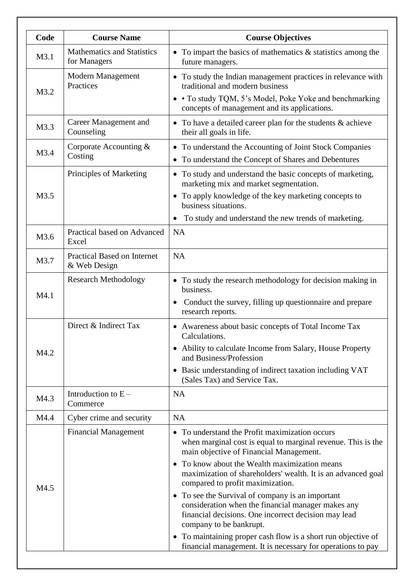| Code | <b>Course Name</b>                                 | <b>Course Objectives</b>                                                                                                                                                                                                                                                                                                                                                                                                                                                                                                                                                     |
|------|----------------------------------------------------|------------------------------------------------------------------------------------------------------------------------------------------------------------------------------------------------------------------------------------------------------------------------------------------------------------------------------------------------------------------------------------------------------------------------------------------------------------------------------------------------------------------------------------------------------------------------------|
| M3.1 | <b>Mathematics and Statistics</b><br>for Managers  | • To impart the basics of mathematics $\&$ statistics among the<br>future managers.                                                                                                                                                                                                                                                                                                                                                                                                                                                                                          |
| M3.2 | Modern Management<br>Practices                     | • To study the Indian management practices in relevance with<br>traditional and modern business<br>• To study TQM, 5's Model, Poke Yoke and benchmarking<br>concepts of management and its applications.                                                                                                                                                                                                                                                                                                                                                                     |
| M3.3 | Career Management and<br>Counseling                | • To have a detailed career plan for the students $\&$ achieve<br>their all goals in life.                                                                                                                                                                                                                                                                                                                                                                                                                                                                                   |
| M3.4 | Corporate Accounting &<br>Costing                  | • To understand the Accounting of Joint Stock Companies<br>• To understand the Concept of Shares and Debentures                                                                                                                                                                                                                                                                                                                                                                                                                                                              |
| M3.5 | Principles of Marketing                            | • To study and understand the basic concepts of marketing,<br>marketing mix and market segmentation.<br>• To apply knowledge of the key marketing concepts to<br>business situations.<br>To study and understand the new trends of marketing.                                                                                                                                                                                                                                                                                                                                |
| M3.6 | Practical based on Advanced<br>Excel               | <b>NA</b>                                                                                                                                                                                                                                                                                                                                                                                                                                                                                                                                                                    |
| M3.7 | <b>Practical Based on Internet</b><br>& Web Design | <b>NA</b>                                                                                                                                                                                                                                                                                                                                                                                                                                                                                                                                                                    |
| M4.1 | <b>Research Methodology</b>                        | • To study the research methodology for decision making in<br>business.<br>Conduct the survey, filling up question aire and prepare<br>research reports.                                                                                                                                                                                                                                                                                                                                                                                                                     |
| M4.2 | Direct & Indirect Tax                              | • Awareness about basic concepts of Total Income Tax<br>Calculations.<br>• Ability to calculate Income from Salary, House Property<br>and Business/Profession<br>• Basic understanding of indirect taxation including VAT<br>(Sales Tax) and Service Tax.                                                                                                                                                                                                                                                                                                                    |
| M4.3 | Introduction to $E -$<br>Commerce                  | <b>NA</b>                                                                                                                                                                                                                                                                                                                                                                                                                                                                                                                                                                    |
| M4.4 | Cyber crime and security                           | <b>NA</b>                                                                                                                                                                                                                                                                                                                                                                                                                                                                                                                                                                    |
| M4.5 | <b>Financial Management</b>                        | • To understand the Profit maximization occurs<br>when marginal cost is equal to marginal revenue. This is the<br>main objective of Financial Management.<br>• To know about the Wealth maximization means<br>maximization of shareholders' wealth. It is an advanced goal<br>compared to profit maximization.<br>• To see the Survival of company is an important<br>consideration when the financial manager makes any<br>financial decisions. One incorrect decision may lead<br>company to be bankrupt.<br>• To maintaining proper cash flow is a short run objective of |
|      |                                                    | financial management. It is necessary for operations to pay                                                                                                                                                                                                                                                                                                                                                                                                                                                                                                                  |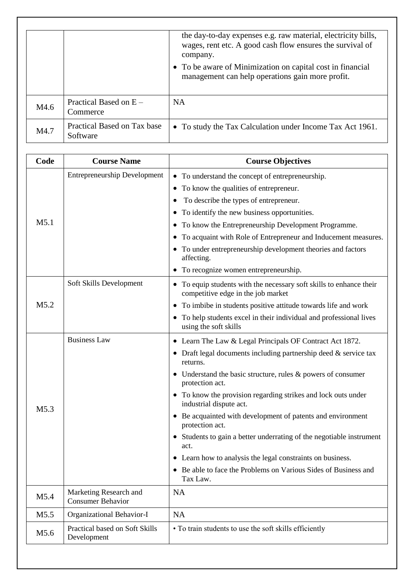|      |                                         | the day-to-day expenses e.g. raw material, electricity bills,<br>wages, rent etc. A good cash flow ensures the survival of<br>company.<br>• To be aware of Minimization on capital cost in financial<br>management can help operations gain more profit. |
|------|-----------------------------------------|----------------------------------------------------------------------------------------------------------------------------------------------------------------------------------------------------------------------------------------------------------|
| M4.6 | Practical Based on $E -$<br>Commerce    | NA.                                                                                                                                                                                                                                                      |
| M4.7 | Practical Based on Tax base<br>Software | • To study the Tax Calculation under Income Tax Act 1961.                                                                                                                                                                                                |

| Code             | <b>Course Name</b>                            | <b>Course Objectives</b>                                                                                  |
|------------------|-----------------------------------------------|-----------------------------------------------------------------------------------------------------------|
|                  | <b>Entrepreneurship Development</b>           | • To understand the concept of entrepreneurship.                                                          |
|                  |                                               | • To know the qualities of entrepreneur.                                                                  |
|                  |                                               | To describe the types of entrepreneur.                                                                    |
|                  |                                               | • To identify the new business opportunities.                                                             |
| M <sub>5.1</sub> |                                               | • To know the Entrepreneurship Development Programme.                                                     |
|                  |                                               | • To acquaint with Role of Entrepreneur and Inducement measures.                                          |
|                  |                                               | • To under entrepreneurship development theories and factors<br>affecting.                                |
|                  |                                               | • To recognize women entrepreneurship.                                                                    |
|                  | Soft Skills Development                       | • To equip students with the necessary soft skills to enhance their<br>competitive edge in the job market |
| M5.2             |                                               | • To imbibe in students positive attitude towards life and work                                           |
|                  |                                               | • To help students excel in their individual and professional lives<br>using the soft skills              |
|                  | <b>Business Law</b>                           | • Learn The Law & Legal Principals OF Contract Act 1872.                                                  |
|                  |                                               | • Draft legal documents including partnership deed $&$ service tax<br>returns.                            |
|                  |                                               | • Understand the basic structure, rules $\&$ powers of consumer<br>protection act.                        |
| M <sub>5.3</sub> |                                               | • To know the provision regarding strikes and lock outs under<br>industrial dispute act.                  |
|                  |                                               | • Be acquainted with development of patents and environment<br>protection act.                            |
|                  |                                               | • Students to gain a better underrating of the negotiable instrument<br>act.                              |
|                  |                                               | • Learn how to analysis the legal constraints on business.                                                |
|                  |                                               | • Be able to face the Problems on Various Sides of Business and<br>Tax Law.                               |
| M5.4             | Marketing Research and<br>Consumer Behavior   | <b>NA</b>                                                                                                 |
| M5.5             | Organizational Behavior-I                     | <b>NA</b>                                                                                                 |
| M5.6             | Practical based on Soft Skills<br>Development | • To train students to use the soft skills efficiently                                                    |
|                  |                                               |                                                                                                           |